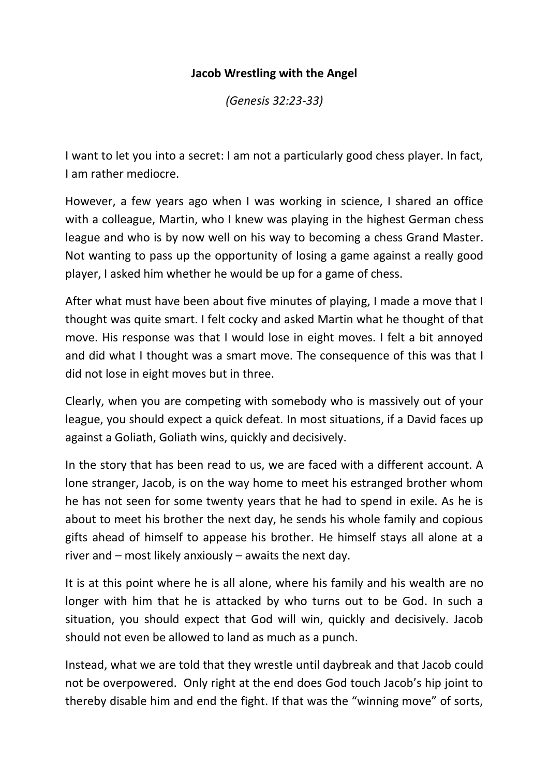## **Jacob Wrestling with the Angel**

*(Genesis 32:23-33)*

I want to let you into a secret: I am not a particularly good chess player. In fact, I am rather mediocre.

However, a few years ago when I was working in science, I shared an office with a colleague, Martin, who I knew was playing in the highest German chess league and who is by now well on his way to becoming a chess Grand Master. Not wanting to pass up the opportunity of losing a game against a really good player, I asked him whether he would be up for a game of chess.

After what must have been about five minutes of playing, I made a move that I thought was quite smart. I felt cocky and asked Martin what he thought of that move. His response was that I would lose in eight moves. I felt a bit annoyed and did what I thought was a smart move. The consequence of this was that I did not lose in eight moves but in three.

Clearly, when you are competing with somebody who is massively out of your league, you should expect a quick defeat. In most situations, if a David faces up against a Goliath, Goliath wins, quickly and decisively.

In the story that has been read to us, we are faced with a different account. A lone stranger, Jacob, is on the way home to meet his estranged brother whom he has not seen for some twenty years that he had to spend in exile. As he is about to meet his brother the next day, he sends his whole family and copious gifts ahead of himself to appease his brother. He himself stays all alone at a river and – most likely anxiously – awaits the next day.

It is at this point where he is all alone, where his family and his wealth are no longer with him that he is attacked by who turns out to be God. In such a situation, you should expect that God will win, quickly and decisively. Jacob should not even be allowed to land as much as a punch.

Instead, what we are told that they wrestle until daybreak and that Jacob could not be overpowered. Only right at the end does God touch Jacob's hip joint to thereby disable him and end the fight. If that was the "winning move" of sorts,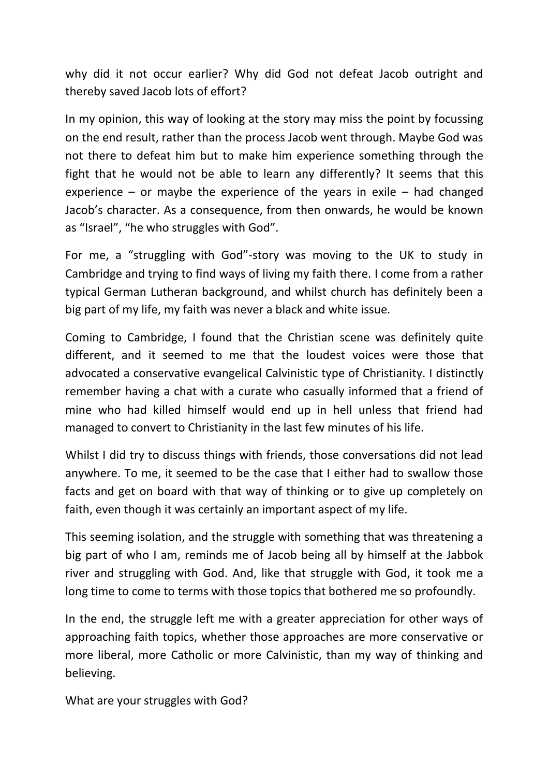why did it not occur earlier? Why did God not defeat Jacob outright and thereby saved Jacob lots of effort?

In my opinion, this way of looking at the story may miss the point by focussing on the end result, rather than the process Jacob went through. Maybe God was not there to defeat him but to make him experience something through the fight that he would not be able to learn any differently? It seems that this experience – or maybe the experience of the years in exile – had changed Jacob's character. As a consequence, from then onwards, he would be known as "Israel", "he who struggles with God".

For me, a "struggling with God"-story was moving to the UK to study in Cambridge and trying to find ways of living my faith there. I come from a rather typical German Lutheran background, and whilst church has definitely been a big part of my life, my faith was never a black and white issue.

Coming to Cambridge, I found that the Christian scene was definitely quite different, and it seemed to me that the loudest voices were those that advocated a conservative evangelical Calvinistic type of Christianity. I distinctly remember having a chat with a curate who casually informed that a friend of mine who had killed himself would end up in hell unless that friend had managed to convert to Christianity in the last few minutes of his life.

Whilst I did try to discuss things with friends, those conversations did not lead anywhere. To me, it seemed to be the case that I either had to swallow those facts and get on board with that way of thinking or to give up completely on faith, even though it was certainly an important aspect of my life.

This seeming isolation, and the struggle with something that was threatening a big part of who I am, reminds me of Jacob being all by himself at the Jabbok river and struggling with God. And, like that struggle with God, it took me a long time to come to terms with those topics that bothered me so profoundly.

In the end, the struggle left me with a greater appreciation for other ways of approaching faith topics, whether those approaches are more conservative or more liberal, more Catholic or more Calvinistic, than my way of thinking and believing.

What are your struggles with God?